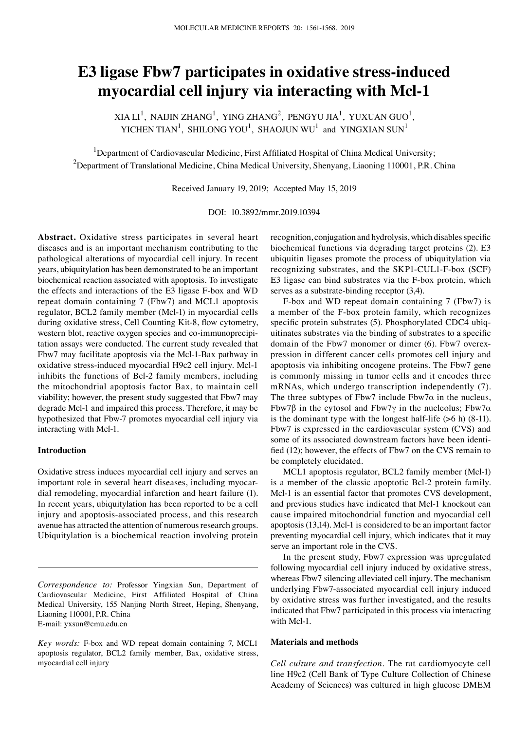# **E3 ligase Fbw7 participates in oxidative stress‑induced myocardial cell injury via interacting with Mcl‑1**

XIA LI<sup>1</sup>, NAIJIN ZHANG<sup>1</sup>, YING ZHANG<sup>2</sup>, PENGYU JIA<sup>1</sup>, YUXUAN GUO<sup>1</sup>, YICHEN TIAN<sup>1</sup>, SHILONG YOU<sup>1</sup>, SHAOJUN WU<sup>1</sup> and YINGXIAN SUN<sup>1</sup>

<sup>1</sup>Department of Cardiovascular Medicine, First Affiliated Hospital of China Medical University;  $^{2}$ Department of Translational Medicine, China Medical University, Shenyang, Liaoning 110001, P.R. China

Received January 19, 2019; Accepted May 15, 2019

DOI: 10.3892/mmr.2019.10394

**Abstract.** Oxidative stress participates in several heart diseases and is an important mechanism contributing to the pathological alterations of myocardial cell injury. In recent years, ubiquitylation has been demonstrated to be an important biochemical reaction associated with apoptosis. To investigate the effects and interactions of the E3 ligase F-box and WD repeat domain containing 7 (Fbw7) and MCL1 apoptosis regulator, BCL2 family member (Mcl-1) in myocardial cells during oxidative stress, Cell Counting Kit‑8, flow cytometry, western blot, reactive oxygen species and co-immunoprecipitation assays were conducted. The current study revealed that Fbw7 may facilitate apoptosis via the Mcl-1-Bax pathway in oxidative stress-induced myocardial H9c2 cell injury. Mcl-1 inhibits the functions of Bcl-2 family members, including the mitochondrial apoptosis factor Bax, to maintain cell viability; however, the present study suggested that Fbw7 may degrade Mcl-1 and impaired this process. Therefore, it may be hypothesized that Fbw-7 promotes myocardial cell injury via interacting with Mcl-1.

# **Introduction**

Oxidative stress induces myocardial cell injury and serves an important role in several heart diseases, including myocardial remodeling, myocardial infarction and heart failure (1). In recent years, ubiquitylation has been reported to be a cell injury and apoptosis-associated process, and this research avenue has attracted the attention of numerous research groups. Ubiquitylation is a biochemical reaction involving protein

*Correspondence to:* Professor Yingxian Sun, Department of Cardiovascular Medicine, First Affiliated Hospital of China Medical University, 155 Nanjing North Street, Heping, Shenyang, Liaoning 110001, P.R. China E‑mail: yxsun@cmu.edu.cn

recognition, conjugation and hydrolysis, which disables specific biochemical functions via degrading target proteins (2). E3 ubiquitin ligases promote the process of ubiquitylation via recognizing substrates, and the SKP1‑CUL1-F-box (SCF) E3 ligase can bind substrates via the F-box protein, which serves as a substrate-binding receptor (3,4).

F-box and WD repeat domain containing 7 (Fbw7) is a member of the F-box protein family, which recognizes specific protein substrates (5). Phosphorylated CDC4 ubiquitinates substrates via the binding of substrates to a specific domain of the Fbw7 monomer or dimer (6). Fbw7 overexpression in different cancer cells promotes cell injury and apoptosis via inhibiting oncogene proteins. The Fbw7 gene is commonly missing in tumor cells and it encodes three mRNAs, which undergo transcription independently (7). The three subtypes of Fbw7 include  $Fbw7\alpha$  in the nucleus, Fbw7β in the cytosol and Fbw7γ in the nucleolus; Fbw7α is the dominant type with the longest half-life  $(>6 h)$   $(8-11)$ . Fbw7 is expressed in the cardiovascular system (CVS) and some of its associated downstream factors have been identified (12); however, the effects of Fbw7 on the CVS remain to be completely elucidated.

MCL1 apoptosis regulator, BCL2 family member (Mcl-1) is a member of the classic apoptotic Bcl-2 protein family. Mcl-1 is an essential factor that promotes CVS development, and previous studies have indicated that Mcl-1 knockout can cause impaired mitochondrial function and myocardial cell apoptosis (13,14). Mcl-1 is considered to be an important factor preventing myocardial cell injury, which indicates that it may serve an important role in the CVS.

In the present study, Fbw7 expression was upregulated following myocardial cell injury induced by oxidative stress, whereas Fbw7 silencing alleviated cell injury. The mechanism underlying Fbw7-associated myocardial cell injury induced by oxidative stress was further investigated, and the results indicated that Fbw7 participated in this process via interacting with Mcl-1.

## **Materials and methods**

*Cell culture and transfection.* The rat cardiomyocyte cell line H9c2 (Cell Bank of Type Culture Collection of Chinese Academy of Sciences) was cultured in high glucose DMEM

*Key words:* F-box and WD repeat domain containing 7, MCL1 apoptosis regulator, BCL2 family member, Bax, oxidative stress, myocardial cell injury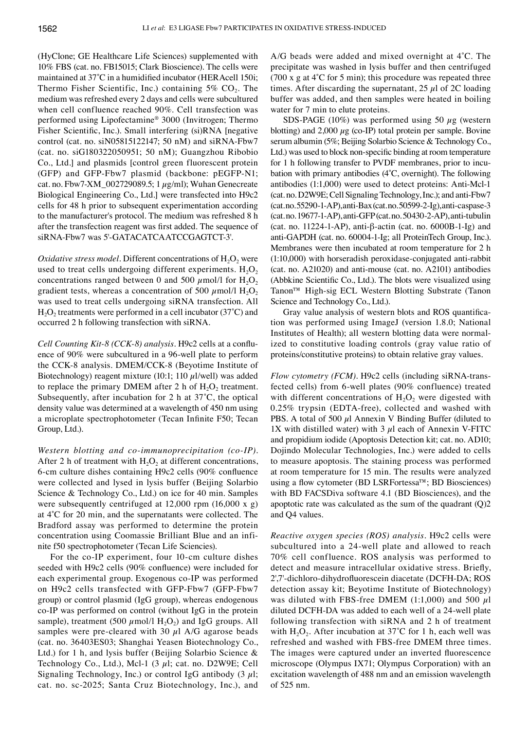(HyClone; GE Healthcare Life Sciences) supplemented with 10% FBS (cat. no. FB15015; Clark Bioscience). The cells were maintained at 37˚C in a humidified incubator (HERAcell 150i; Thermo Fisher Scientific, Inc.) containing  $5\%$  CO<sub>2</sub>. The medium was refreshed every 2 days and cells were subcultured when cell confluence reached 90%. Cell transfection was performed using Lipofectamine® 3000 (Invitrogen; Thermo Fisher Scientific, Inc.). Small interfering (si)RNA [negative control (cat. no. siN05815122147; 50 nM) and siRNA-Fbw7 (cat. no. siG180322050951; 50 nM); Guangzhou Ribobio Co., Ltd.] and plasmids [control green fluorescent protein (GFP) and GFP-Fbw7 plasmid (backbone: pEGFP‑N1; cat. no. Fbw7-XM\_002729089.5;  $1 \mu g/ml$ ; Wuhan Genecreate Biological Engineering Co., Ltd.] were transfected into H9c2 cells for 48 h prior to subsequent experimentation according to the manufacturer's protocol. The medium was refreshed 8 h after the transfection reagent was first added. The sequence of siRNA‑Fbw7 was 5'-GATACATCAATCCGAGTCT-3'.

*Oxidative stress model.* Different concentrations of H<sub>2</sub>O<sub>2</sub> were used to treat cells undergoing different experiments.  $H_2O_2$ concentrations ranged between 0 and 500  $\mu$ mol/l for H<sub>2</sub>O<sub>2</sub> gradient tests, whereas a concentration of 500  $\mu$ mol/l H<sub>2</sub>O<sub>2</sub> was used to treat cells undergoing siRNA transfection. All  $H<sub>2</sub>O<sub>2</sub>$  treatments were performed in a cell incubator (37°C) and occurred 2 h following transfection with siRNA.

*Cell Counting Kit-8 (CCK-8) analysis.* H9c2 cells at a confluence of 90% were subcultured in a 96-well plate to perform the CCK-8 analysis. DMEM/CCK-8 (Beyotime Institute of Biotechnology) reagent mixture (10:1; 110  $\mu$ l/well) was added to replace the primary DMEM after 2 h of  $H_2O_2$  treatment. Subsequently, after incubation for 2 h at 37˚C, the optical density value was determined at a wavelength of 450 nm using a microplate spectrophotometer (Tecan Infinite F50; Tecan Group, Ltd.).

*Western blotting and co‑immunoprecipitation (co‑IP).*  After 2 h of treatment with  $H_2O_2$  at different concentrations, 6‑cm culture dishes containing H9c2 cells (90% confluence were collected and lysed in lysis buffer (Beijing Solarbio Science & Technology Co., Ltd.) on ice for 40 min. Samples were subsequently centrifuged at 12,000 rpm (16,000 x g) at 4˚C for 20 min, and the supernatants were collected. The Bradford assay was performed to determine the protein concentration using Coomassie Brilliant Blue and an infinite f50 spectrophotometer (Tecan Life Sciencies).

For the co-IP experiment, four 10-cm culture dishes seeded with H9c2 cells (90% confluence) were included for each experimental group. Exogenous co‑IP was performed on H9c2 cells transfected with GFP-Fbw7 (GFP-Fbw7 group) or control plasmid (IgG group), whereas endogenous co‑IP was performed on control (without IgG in the protein sample), treatment (500  $\mu$ mol/l H<sub>2</sub>O<sub>2</sub>) and IgG groups. All samples were pre-cleared with 30  $\mu$ l A/G agarose beads (cat. no. 36403ES03; Shanghai Yeasen Biotechnology Co., Ltd.) for 1 h, and lysis buffer (Beijing Solarbio Science & Technology Co., Ltd.), Mcl-1  $(3 \mu l; \text{cat. no. D2W9E}; \text{Cell})$ Signaling Technology, Inc.) or control IgG antibody  $(3 \mu l)$ ; cat. no. sc-2025; Santa Cruz Biotechnology, Inc.), and A/G beads were added and mixed overnight at 4˚C. The precipitate was washed in lysis buffer and then centrifuged (700 x g at  $4^{\circ}$ C for 5 min); this procedure was repeated three times. After discarding the supernatant,  $25 \mu$ l of  $2C$  loading buffer was added, and then samples were heated in boiling water for 7 min to elute proteins.

SDS-PAGE (10%) was performed using 50  $\mu$ g (western blotting) and  $2,000 \mu$ g (co-IP) total protein per sample. Bovine serum albumin (5%; Beijing Solarbio Science & Technology Co., Ltd.) was used to block non-specific binding at room temperature for 1 h following transfer to PVDF membranes, prior to incubation with primary antibodies (4˚C, overnight). The following antibodies (1:1,000) were used to detect proteins: Anti-Mcl-1 (cat. no. D2W9E; Cell Signaling Technology, Inc.); and anti-Fbw7 (cat.no.55290-1‑AP), anti-Bax (cat.no.50599-2‑Ig), anti-caspase-3 (cat.no.19677-1‑AP), anti-GFP (cat.no.50430-2‑AP), anti-tubulin (cat. no. 11224-1‑AP), anti-β-actin (cat. no. 6000B-1‑Ig) and anti-GAPDH (cat. no. 60004-1‑Ig; all ProteinTech Group, Inc.). Membranes were then incubated at room temperature for 2 h (1:10,000) with horseradish peroxidase-conjugated anti-rabbit (cat. no. A21020) and anti-mouse (cat. no. A2101) antibodies (Abbkine Scientific Co., Ltd.). The blots were visualized using Tanon™ High-sig ECL Western Blotting Substrate (Tanon Science and Technology Co., Ltd.).

Gray value analysis of western blots and ROS quantification was performed using ImageJ (version 1.8.0; National Institutes of Health); all western blotting data were normalized to constitutive loading controls (gray value ratio of proteins/constitutive proteins) to obtain relative gray values.

*Flow cytometry (FCM).* H9c2 cells (including siRNA-transfected cells) from 6-well plates (90% confluence) treated with different concentrations of  $H_2O_2$  were digested with 0.25% trypsin (EDTA‑free), collected and washed with PBS. A total of 500  $\mu$ l Annexin V Binding Buffer (diluted to 1X with distilled water) with  $3 \mu$ l each of Annexin V-FITC and propidium iodide (Apoptosis Detection kit; cat. no. AD10; Dojindo Molecular Technologies, Inc.) were added to cells to measure apoptosis. The staining process was performed at room temperature for 15 min. The results were analyzed using a flow cytometer (BD LSRFortessa™; BD Biosciences) with BD FACSDiva software 4.1 (BD Biosciences), and the apoptotic rate was calculated as the sum of the quadrant (Q)2 and Q4 values.

*Reactive oxygen species (ROS) analysis.* H9c2 cells were subcultured into a 24-well plate and allowed to reach 70% cell confluence. ROS analysis was performed to detect and measure intracellular oxidative stress. Briefly, 2',7'‑dichloro‑dihydrofluorescein diacetate (DCFH‑DA; ROS detection assay kit; Beyotime Institute of Biotechnology) was diluted with FBS-free DMEM (1:1,000) and 500  $\mu$ l diluted DCFH‑DA was added to each well of a 24-well plate following transfection with siRNA and 2 h of treatment with  $H_2O_2$ . After incubation at 37°C for 1 h, each well was refreshed and washed with FBS-free DMEM three times. The images were captured under an inverted fluorescence microscope (Olympus IX71; Olympus Corporation) with an excitation wavelength of 488 nm and an emission wavelength of 525 nm.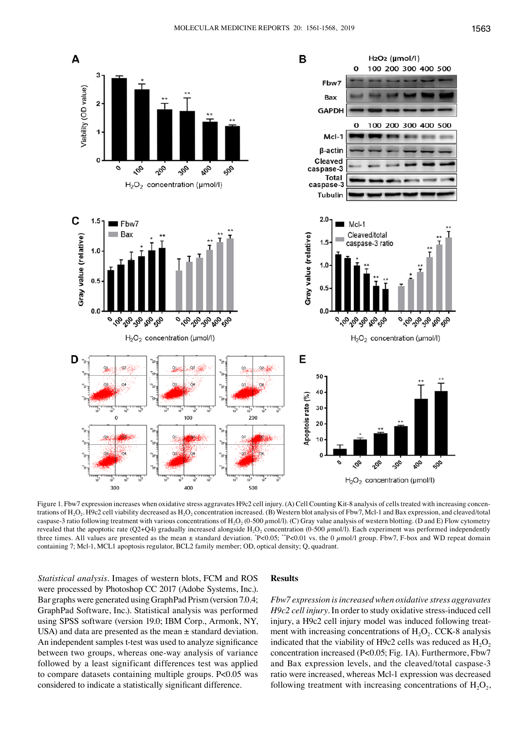

Figure 1. Fbw7 expression increases when oxidative stress aggravates H9c2 cell injury. (A) Cell Counting Kit-8 analysis of cells treated with increasing concentrations of H<sub>2</sub>O<sub>2</sub>. H9c2 cell viability decreased as H<sub>2</sub>O<sub>2</sub> concentration increased. (B) Western blot analysis of Fbw7, Mcl-1 and Bax expression, and cleaved/total caspase-3 ratio following treatment with various concentrations of H<sub>2</sub>O<sub>2</sub> (0-500  $\mu$ mol/l). (C) Gray value analysis of western blotting. (D and E) Flow cytometry revealed that the apoptotic rate (Q2+Q4) gradually increased alongside H<sub>2</sub>O<sub>2</sub> concentration (0-500  $\mu$ mol/l). Each experiment was performed independently three times. All values are presented as the mean  $\pm$  standard deviation.  $P<0.05$ ;  $P<0.01$  vs. the 0  $\mu$ mol/l group. Fbw7, F-box and WD repeat domain containing 7; Mcl-1, MCL1 apoptosis regulator, BCL2 family member; OD, optical density; Q, quadrant.

*Statistical analysis.* Images of western blots, FCM and ROS were processed by Photoshop CC 2017 (Adobe Systems, Inc.). Bar graphs were generated using GraphPad Prism (version 7.0.4; GraphPad Software, Inc.). Statistical analysis was performed using SPSS software (version 19.0; IBM Corp., Armonk, NY, USA) and data are presented as the mean  $\pm$  standard deviation. An independent samples t-test was used to analyze significance between two groups, whereas one-way analysis of variance followed by a least significant differences test was applied to compare datasets containing multiple groups. P<0.05 was considered to indicate a statistically significant difference.

# **Results**

*Fbw7 expression is increased when oxidative stress aggravates H9c2 cell injury.* In order to study oxidative stress-induced cell injury, a H9c2 cell injury model was induced following treatment with increasing concentrations of  $H_2O_2$ . CCK-8 analysis indicated that the viability of H9c2 cells was reduced as  $H_2O_2$ concentration increased (P<0.05; Fig. 1A). Furthermore, Fbw7 and Bax expression levels, and the cleaved/total caspase-3 ratio were increased, whereas Mcl-1 expression was decreased following treatment with increasing concentrations of  $H_2O_2$ ,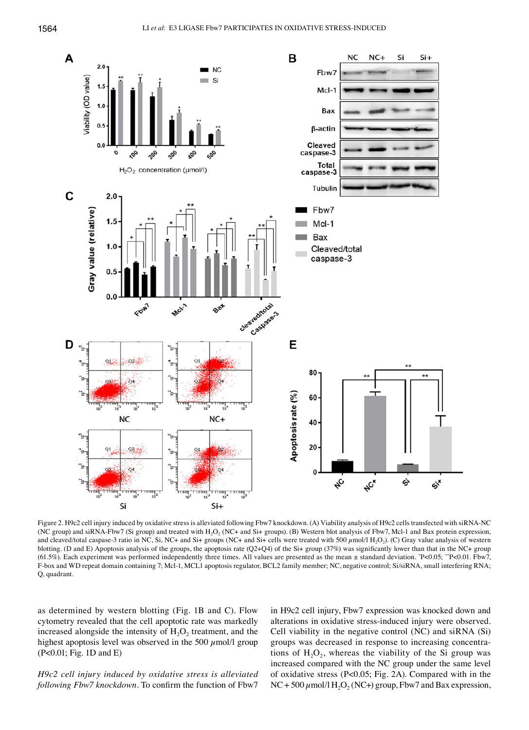

Figure 2. H9c2 cell injury induced by oxidative stress is alleviated following Fbw7 knockdown. (A) Viability analysis of H9c2 cells transfected with siRNA‑NC (NC group) and siRNA-Fbw7 (Si group) and treated with H<sub>2</sub>O<sub>2</sub> (NC+ and Si+ groups). (B) Western blot analysis of Fbw7, Mcl-1 and Bax protein expression, and cleaved/total caspase-3 ratio in NC, Si, NC+ and Si+ groups (NC+ and Si+ cells were treated with 500  $\mu$ mol/l H<sub>2</sub>O<sub>2</sub>). (C) Gray value analysis of western blotting. (D and E) Apoptosis analysis of the groups, the apoptosis rate (Q2+Q4) of the Si+ group (37%) was significantly lower than that in the NC+ group (61.5%). Each experiment was performed independently three times. All values are presented as the mean  $\pm$  standard deviation.  $P<0.05$ ;  $P<0.01$ . Fbw7, F-box and WD repeat domain containing 7; Mcl-1, MCL1 apoptosis regulator, BCL2 family member; NC, negative control; Si/siRNA, small interfering RNA; Q, quadrant.

as determined by western blotting (Fig. 1B and C). Flow cytometry revealed that the cell apoptotic rate was markedly increased alongside the intensity of  $H_2O_2$  treatment, and the highest apoptosis level was observed in the 500  $\mu$ mol/l group (P<0.01; Fig. 1D and E)

*H9c2 cell injury induced by oxidative stress is alleviated following Fbw7 knockdown.* To confirm the function of Fbw7 in H9c2 cell injury, Fbw7 expression was knocked down and alterations in oxidative stress-induced injury were observed. Cell viability in the negative control (NC) and siRNA (Si) groups was decreased in response to increasing concentrations of  $H_2O_2$ , whereas the viability of the Si group was increased compared with the NC group under the same level of oxidative stress (P<0.05; Fig. 2A). Compared with in the  $NC + 500 \mu$ mol/l H<sub>2</sub>O<sub>2</sub> (NC+) group, Fbw7 and Bax expression,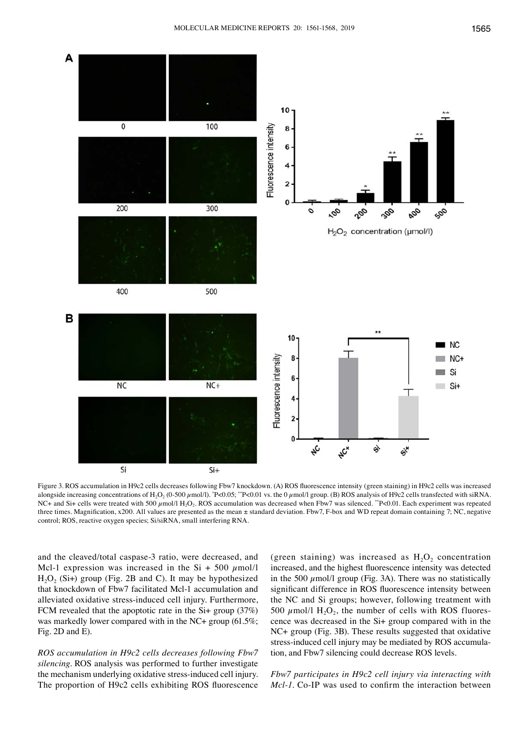

Figure 3. ROS accumulation in H9c2 cells decreases following Fbw7 knockdown. (A) ROS fluorescence intensity (green staining) in H9c2 cells was increased alongside increasing concentrations of  $H_2O_2$  (0-500  $\mu$ mol/l). "P<0.05; ""P<0.01 vs. the 0  $\mu$ mol/l group. (B) ROS analysis of H9c2 cells transfected with siRNA. NC+ and Si+ cells were treated with 500  $\mu$ mol/l H<sub>2</sub>O<sub>2</sub>. ROS accumulation was decreased when Fbw7 was silenced. \*\*P<0.01. Each experiment was repeated three times. Magnification, x200. All values are presented as the mean ± standard deviation. Fbw7, F-box and WD repeat domain containing 7; NC, negative control; ROS, reactive oxygen species; Si/siRNA, small interfering RNA.

and the cleaved/total caspase-3 ratio, were decreased, and Mcl-1 expression was increased in the Si + 500  $\mu$ mol/l  $H_2O_2$  (Si+) group (Fig. 2B and C). It may be hypothesized that knockdown of Fbw7 facilitated Mcl-1 accumulation and alleviated oxidative stress-induced cell injury. Furthermore, FCM revealed that the apoptotic rate in the Si+ group (37%) was markedly lower compared with in the NC+ group (61.5%; Fig. 2D and E).

*ROS accumulation in H9c2 cells decreases following Fbw7 silencing.* ROS analysis was performed to further investigate the mechanism underlying oxidative stress-induced cell injury. The proportion of H9c2 cells exhibiting ROS fluorescence

(green staining) was increased as  $H_2O_2$  concentration increased, and the highest fluorescence intensity was detected in the 500  $\mu$ mol/l group (Fig. 3A). There was no statistically significant difference in ROS fluorescence intensity between the NC and Si groups; however, following treatment with 500  $\mu$ mol/l H<sub>2</sub>O<sub>2</sub>, the number of cells with ROS fluorescence was decreased in the Si+ group compared with in the NC+ group (Fig. 3B). These results suggested that oxidative stress-induced cell injury may be mediated by ROS accumulation, and Fbw7 silencing could decrease ROS levels.

*Fbw7 participates in H9c2 cell injury via interacting with Mcl-1*. Co-IP was used to confirm the interaction between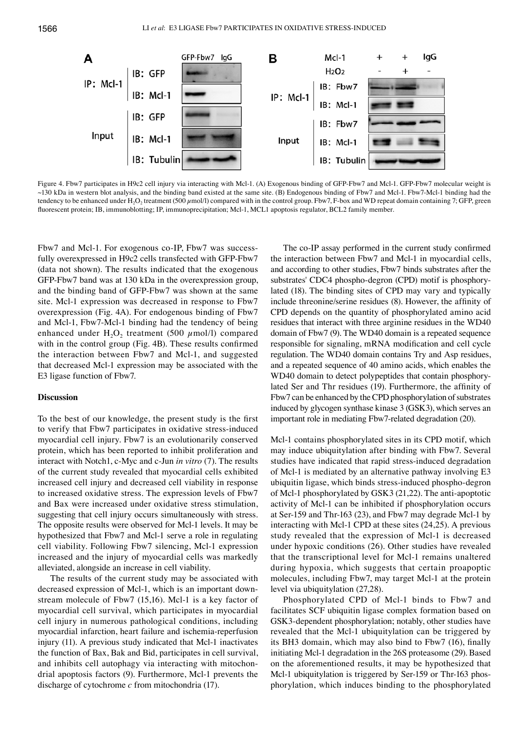

Figure 4. Fbw7 participates in H9c2 cell injury via interacting with Mcl-1. (A) Exogenous binding of GFP-Fbw7 and Mcl-1. GFP-Fbw7 molecular weight is ~130 kDa in western blot analysis, and the binding band existed at the same site. (B) Endogenous binding of Fbw7 and Mcl-1. Fbw7-Mcl-1 binding had the tendency to be enhanced under  $H_2O_2$  treatment (500  $\mu$ mol/l) compared with in the control group. Fbw7, F-box and WD repeat domain containing 7; GFP, green fluorescent protein; IB, immunoblotting; IP, immunoprecipitation; Mcl-1, MCL1 apoptosis regulator, BCL2 family member.

Fbw7 and Mcl-1. For exogenous co-IP, Fbw7 was successfully overexpressed in H9c2 cells transfected with GFP-Fbw7 (data not shown). The results indicated that the exogenous GFP-Fbw7 band was at 130 kDa in the overexpression group, and the binding band of GFP-Fbw7 was shown at the same site. Mcl-1 expression was decreased in response to Fbw7 overexpression (Fig. 4A). For endogenous binding of Fbw7 and Mcl-1, Fbw7-Mcl-1 binding had the tendency of being enhanced under  $H_2O_2$  treatment (500  $\mu$ mol/l) compared with in the control group (Fig. 4B). These results confirmed the interaction between Fbw7 and Mcl-1, and suggested that decreased Mcl-1 expression may be associated with the E3 ligase function of Fbw7.

## **Discussion**

To the best of our knowledge, the present study is the first to verify that Fbw7 participates in oxidative stress-induced myocardial cell injury. Fbw7 is an evolutionarily conserved protein, which has been reported to inhibit proliferation and interact with Notch1, c-Myc and c-Jun *in vitro* (7). The results of the current study revealed that myocardial cells exhibited increased cell injury and decreased cell viability in response to increased oxidative stress. The expression levels of Fbw7 and Bax were increased under oxidative stress stimulation, suggesting that cell injury occurs simultaneously with stress. The opposite results were observed for Mcl-1 levels. It may be hypothesized that Fbw7 and Mcl-1 serve a role in regulating cell viability. Following Fbw7 silencing, Mcl-1 expression increased and the injury of myocardial cells was markedly alleviated, alongside an increase in cell viability.

The results of the current study may be associated with decreased expression of Mcl-1, which is an important downstream molecule of Fbw7 (15,16). Mcl-1 is a key factor of myocardial cell survival, which participates in myocardial cell injury in numerous pathological conditions, including myocardial infarction, heart failure and ischemia-reperfusion injury (11). A previous study indicated that Mcl-1 inactivates the function of Bax, Bak and Bid, participates in cell survival, and inhibits cell autophagy via interacting with mitochondrial apoptosis factors (9). Furthermore, Mcl-1 prevents the discharge of cytochrome *c* from mitochondria (17).

The co-IP assay performed in the current study confirmed the interaction between Fbw7 and Mcl-1 in myocardial cells, and according to other studies, Fbw7 binds substrates after the substrates' CDC4 phospho-degron (CPD) motif is phosphorylated (18). The binding sites of CPD may vary and typically include threonine/serine residues (8). However, the affinity of CPD depends on the quantity of phosphorylated amino acid residues that interact with three arginine residues in the WD40 domain of Fbw7 (9). The WD40 domain is a repeated sequence responsible for signaling, mRNA modification and cell cycle regulation. The WD40 domain contains Try and Asp residues, and a repeated sequence of 40 amino acids, which enables the WD40 domain to detect polypeptides that contain phosphorylated Ser and Thr residues (19). Furthermore, the affinity of Fbw7 can be enhanced by the CPD phosphorylation of substrates induced by glycogen synthase kinase 3 (GSK3), which serves an important role in mediating Fbw7-related degradation (20).

Mcl-1 contains phosphorylated sites in its CPD motif, which may induce ubiquitylation after binding with Fbw7. Several studies have indicated that rapid stress-induced degradation of Mcl-1 is mediated by an alternative pathway involving E3 ubiquitin ligase, which binds stress-induced phospho-degron of Mcl-1 phosphorylated by GSK3 (21,22). The anti-apoptotic activity of Mcl-1 can be inhibited if phosphorylation occurs at Ser-159 and Thr-163 (23), and Fbw7 may degrade Mcl-1 by interacting with Mcl-1 CPD at these sites (24,25). A previous study revealed that the expression of Mcl-1 is decreased under hypoxic conditions (26). Other studies have revealed that the transcriptional level for Mcl-1 remains unaltered during hypoxia, which suggests that certain proapoptic molecules, including Fbw7, may target Mcl-1 at the protein level via ubiquitylation (27,28).

Phosphorylated CPD of Mcl-1 binds to Fbw7 and facilitates SCF ubiquitin ligase complex formation based on GSK3-dependent phosphorylation; notably, other studies have revealed that the Mcl-1 ubiquitylation can be triggered by its BH3 domain, which may also bind to Fbw7 (16), finally initiating Mcl-1 degradation in the 26S proteasome (29). Based on the aforementioned results, it may be hypothesized that Mcl-1 ubiquitylation is triggered by Ser-159 or Thr-163 phosphorylation, which induces binding to the phosphorylated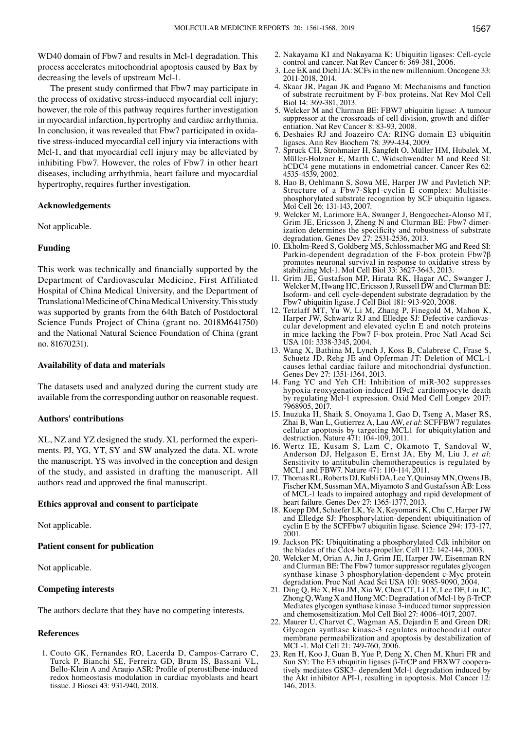WD40 domain of Fbw7 and results in Mcl-1 degradation. This process accelerates mitochondrial apoptosis caused by Bax by decreasing the levels of upstream Mcl-1.

The present study confirmed that Fbw7 may participate in the process of oxidative stress-induced myocardial cell injury; however, the role of this pathway requires further investigation in myocardial infarction, hypertrophy and cardiac arrhythmia. In conclusion, it was revealed that Fbw7 participated in oxidative stress-induced myocardial cell injury via interactions with Mcl-1, and that myocardial cell injury may be alleviated by inhibiting Fbw7. However, the roles of Fbw7 in other heart diseases, including arrhythmia, heart failure and myocardial hypertrophy, requires further investigation.

## **Acknowledgements**

Not applicable.

## **Funding**

This work was technically and financially supported by the Department of Cardiovascular Medicine, First Affiliated Hospital of China Medical University, and the Department of Translational Medicine of China Medical University. This study was supported by grants from the 64th Batch of Postdoctoral Science Funds Project of China (grant no. 2018M641750) and the National Natural Science Foundation of China (grant no. 81670231).

#### **Availability of data and materials**

The datasets used and analyzed during the current study are available from the corresponding author on reasonable request.

## **Authors' contributions**

XL, NZ and YZ designed the study. XL performed the experiments. PJ, YG, YT, SY and SW analyzed the data. XL wrote the manuscript. YS was involved in the conception and design of the study, and assisted in drafting the manuscript. All authors read and approved the final manuscript.

#### **Ethics approval and consent to participate**

Not applicable.

#### **Patient consent for publication**

Not applicable.

## **Competing interests**

The authors declare that they have no competing interests.

## **References**

1. Couto GK, Fernandes RO, Lacerda D, Campos‑Carraro C, Turck P, Bianchi SE, Ferreira GD, Brum IS, Bassani VL, Bello‑Klein A and Araujo ASR: Profile of pterostilbene‑induced redox homeostasis modulation in cardiac myoblasts and heart tissue. J Biosci 43: 931-940, 2018.

- 2. Nakayama KI and Nakayama K: Ubiquitin ligases: Cell-cycle control and cancer. Nat Rev Cancer 6: 369-381, 2006.
- 3. Lee EK and DiehlJA: SCFs in the new millennium. Oncogene 33: 2011-2018, 2014.
- 4. Skaar JR, Pagan JK and Pagano M: Mechanisms and function of substrate recruitment by F-box proteins. Nat Rev Mol Cell Biol 14: 369-381, 2013.
- 5. Welcker M and Clurman BE: FBW7 ubiquitin ligase: A tumour suppressor at the crossroads of cell division, growth and differ- entiation. Nat Rev Cancer 8: 83-93, 2008.
- 6. Deshaies RJ and Joazeiro CA: RING domain E3 ubiquitin ligases. Ann Rev Biochem 78: 399-434, 2009.
- 7. Spruck CH, Strohmaier H, Sangfelt O, Müller HM, Hubalek M, hCDC4 gene mutations in endometrial cancer. Cancer Res 62: 4535-4539, 2002.
- 8. Hao B, Oehlmann S, Sowa ME, Harper JW and Pavletich NP: Structure of a Fbw7-Skp1-cyclin E complex: Multisitephosphorylated substrate recognition by SCF ubiquitin ligases. Mol Cell 26: 131-143, 2007.
- 9. Welcker M, Larimore EA, Swanger J, Bengoechea-Alonso MT, Grim JE, Ericsson J, Zheng N and Clurman BE: Fbw7 dimer-Grim JE, Ericsson J, Zheng N and Clurman BE: Fbw7 dimer- ization determines the specificity and robustness of substrate degradation. Genes Dev 27: 2531-2536, 2013.
- 10. Ekholm‑Reed S, Goldberg MS, Schlossmacher MG and Reed SI: Parkin-dependent degradation of the F-box protein Fbw7<sup>β</sup> promotes neuronal survival in response to oxidative stress by stabilizing Mcl-1. Mol Cell Biol 33: 3627-3643, 2013.
- 11. Grim JE, Gustafson MP, Hirata RK, Hagar AC, Swanger J, Welcker M, Hwang HC, Ericsson J, Russell DW and Clurman BE: Isoform- and cell cycle-dependent substrate degradation by the Fbw7 ubiquitin ligase. J Cell Biol 181: 913-920, 2008.
- 12. Tetzlaff MT, Yu W, Li M, Zhang P, Finegold M, Mahon K, Harper JW, Schwartz RJ and Elledge SJ: Defective cardiovascular development and elevated cyclin E and notch proteins in mice lacking the Fbw7 F-box protein. Proc Natl Acad Sci USA 101: 3338-3345, 2004.
- 13. Wang X, Bathina M, Lynch J, Koss B, Calabrese C, Frase S, Schuetz JD, Rehg JE and Opferman JT: Deletion of MCL-1 causes lethal cardiac failure and mitochondrial dysfunction. Genes Dev 27: 1351-1364, 2013.
- 14. Fang YC and Yeh CH: Inhibition of miR‑302 suppresses hypoxia-reoxygenation-induced H9c2 cardiomyocyte death by regulating Mcl-1 expression. Oxid Med Cell Longev 2017: 7968905, 2017.
- 15. Inuzuka H, Shaik S, Onoyama I, Gao D, Tseng A, Maser RS, Zhai B, Wan L, Gutierrez A, Lau AW, *et al*: SCFFBW7 regulates cellular apoptosis by targeting MCL1 for ubiquitylation and destruction. Nature 471: 104-109, 2011.
- 16. Wertz IE, Kusam S, Lam C, Okamoto T, Sandoval W, Anderson DJ, Helgason E, Ernst JA, Eby M, Liu J, *et al*: Sensitivity to antitubulin chemotherapeutics is regulated by MCL1 and FBW7. Nature 471: 110-114, 2011.
- 17. Thomas RL, Roberts DJ, Kubli DA, Lee Y, Quinsay MN, Owens JB, Fischer KM, Sussman MA, Miyamoto S and Gustafsson ÅB: Loss of MCL‑1 leads to impaired autophagy and rapid development of heart failure. Genes Dev 27: 1365-1377, 2013.
- 18. Koepp DM, Schaefer LK, Ye X, Keyomarsi K, Chu C, Harper JW and Elledge SJ: Phosphorylation-dependent ubiquitination of cyclin E by the SCFFbw7 ubiquitin ligase. Science 294: 173-177, 2001.
- 19. Jackson PK: Ubiquitinating a phosphorylated Cdk inhibitor on the blades of the Cdc4 beta-propeller. Cell 112: 142-144, 2003.
- 20. Welcker M, Orian A, Jin J, Grim JE, Harper JW, Eisenman F and Clurman BE: The Fbw7 tumor suppressor regulates glycogen synthase kinase 3 phosphorylation-dependent c-Myc protein degradation. Proc Natl Acad Sci USA 101: 9085-9090, 2004.
- 21. Ding Q, He X, Hsu JM, Xia W, Chen CT, Li LY, Lee DF, Liu JC, Zhong Q, Wang X and Hung MC: Degradation of Mcl-1 by β-TrCP Mediates glycogen synthase kinase 3-induced tumor suppression and chemosensitization. Mol Cell Biol 27: 4006-4017, 2007.<br>22. Maurer U, Charvet C, Wagman AS, Dejardin E and Green DR:
- Glycogen synthase kinase-3 regulates mitochondrial outer membrane permeabilization and apoptosis by destabilization of MCL‑1. Mol Cell 21: 749-760, 2006.
- 23. Ren H, Koo J, Guan B, Yue P, Deng X, Chen M, Khuri FR and Sun SY: The E3 ubiquitin ligases β-TrCP and FBXW7 cooperatively mediates GSK3- dependent Mcl-1 degradation induced by the Akt inhibitor API-1, resulting in apoptosis. Mol Cancer 12: 146, 2013.